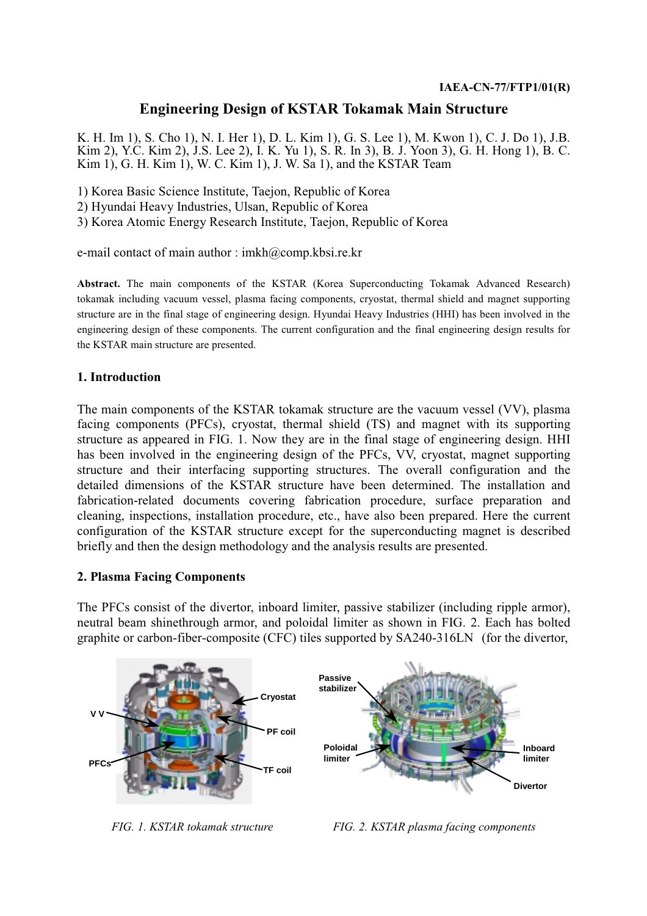## **Engineering Design of KSTAR Tokamak Main Structure**

K. H. Im 1), S. Cho 1), N. I. Her 1), D. L. Kim 1), G. S. Lee 1), M. Kwon 1), C. J. Do 1), J.B. Kim 2), Y.C. Kim 2), J.S. Lee 2), I. K. Yu 1), S. R. In 3), B. J. Yoon 3), G. H. Hong 1), B. C. Kim 1), G. H. Kim 1), W. C. Kim 1), J. W. Sa 1), and the KSTAR Team

1) Korea Basic Science Institute, Taejon, Republic of Korea

2) Hyundai Heavy Industries, Ulsan, Republic of Korea

3) Korea Atomic Energy Research Institute, Taejon, Republic of Korea

e-mail contact of main author : imkh@comp.kbsi.re.kr

Abstract. The main components of the KSTAR (Korea Superconducting Tokamak Advanced Research) tokamak including vacuum vessel, plasma facing components, cryostat, thermal shield and magnet supporting structure are in the final stage of engineering design. Hyundai Heavy Industries (HHI) has been involved in the engineering design of these components. The current configuration and the final engineering design results for the KSTAR main structure are presented.

#### 1. Introduction

The main components of the KSTAR tokamak structure are the vacuum vessel (VV), plasma facing components (PFCs), cryostat, thermal shield (TS) and magnet with its supporting structure as appeared in FIG. 1. Now they are in the final stage of engineering design. HHI has been involved in the engineering design of the PFCs, VV, cryostat, magnet supporting structure and their interfacing supporting structures. The overall configuration and the detailed dimensions of the KSTAR structure have been determined. The installation and fabrication-related documents covering fabrication procedure, surface preparation and cleaning, inspections, installation procedure, etc., have also been prepared. Here the current configuration of the KSTAR structure except for the superconducting magnet is described briefly and then the design methodology and the analysis results are presented.

#### 2. Plasma Facing Components

The PFCs consist of the divertor, inboard limiter, passive stabilizer (including ripple armor), neutral beam shinethrough armor, and poloidal limiter as shown in FIG. 2. Each has bolted graphite or carbon-fiber-composite (CFC) tiles supported by SA240-316LN (for the divertor,



FIG. 1. KSTAR tokamak structure

FIG. 2. KSTAR plasma facing components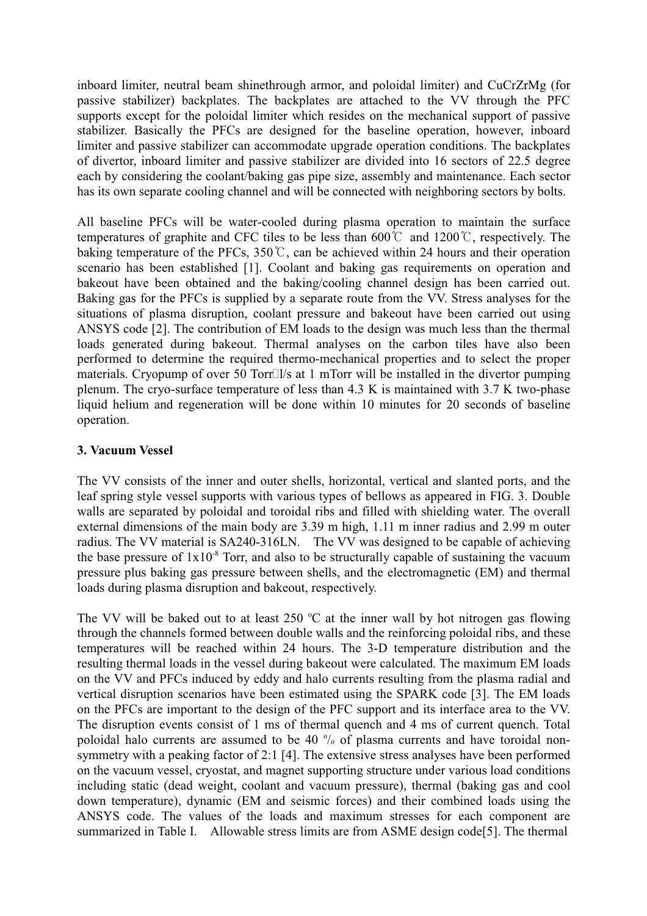inboard limiter, neutral beam shinethrough armor, and poloidal limiter) and CuCrZrMg (for passive stabilizer) backplates. The backplates are attached to the VV through the PFC supports except for the poloidal limiter which resides on the mechanical support of passive stabilizer. Basically the PFCs are designed for the baseline operation, however, inboard limiter and passive stabilizer can accommodate upgrade operation conditions. The backplates of divertor, inboard limiter and passive stabilizer are divided into 16 sectors of 22.5 degree each by considering the coolant/baking gas pipe size, assembly and maintenance. Each sector has its own separate cooling channel and will be connected with neighboring sectors by bolts.

All baseline PFCs will be water-cooled during plasma operation to maintain the surface temperatures of graphite and CFC tiles to be less than  $600^{\circ}$ C and  $1200^{\circ}$ C, respectively. The baking temperature of the PFCs,  $350^{\circ}$ C, can be achieved within 24 hours and their operation scenario has been established [1]. Coolant and baking gas requirements on operation and bakeout have been obtained and the baking/cooling channel design has been carried out. Baking gas for the PFCs is supplied by a separate route from the VV. Stress analyses for the situations of plasma disruption, coolant pressure and bakeout have been carried out using ANSYS code [2]. The contribution of EM loads to the design was much less than the thermal loads generated during bakeout. Thermal analyses on the carbon tiles have also been performed to determine the required thermo-mechanical properties and to select the proper materials. Cryopump of over 50 Torr! l/s at 1 mTorr will be installed in the divertor pumping plenum. The cryo-surface temperature of less than 4.3 K is maintained with 3.7 K two-phase liquid helium and regeneration will be done within 10 minutes for 20 seconds of baseline operation.

## **3. Vacuum Vessel**

The VV consists of the inner and outer shells, horizontal, vertical and slanted ports, and the leaf spring style vessel supports with various types of bellows as appeared in FIG. 3. Double walls are separated by poloidal and toroidal ribs and filled with shielding water. The overall external dimensions of the main body are 3.39 m high, 1.11 m inner radius and 2.99 m outer radius. The VV material is SA240-316LN. The VV was designed to be capable of achieving the base pressure of  $1x10<sup>-8</sup>$  Torr, and also to be structurally capable of sustaining the vacuum pressure plus baking gas pressure between shells, and the electromagnetic (EM) and thermal loads during plasma disruption and bakeout, respectively.

The VV will be baked out to at least  $250 \degree C$  at the inner wall by hot nitrogen gas flowing through the channels formed between double walls and the reinforcing poloidal ribs, and these temperatures will be reached within 24 hours. The 3-D temperature distribution and the resulting thermal loads in the vessel during bakeout were calculated. The maximum EM loads on the VV and PFCs induced by eddy and halo currents resulting from the plasma radial and vertical disruption scenarios have been estimated using the SPARK code [3]. The EM loads on the PFCs are important to the design of the PFC support and its interface area to the VV. The disruption events consist of 1 ms of thermal quench and 4 ms of current quench. Total poloidal halo currents are assumed to be 40 % of plasma currents and have toroidal nonsymmetry with a peaking factor of 2:1 [4]. The extensive stress analyses have been performed on the vacuum vessel, cryostat, and magnet supporting structure under various load conditions including static (dead weight, coolant and vacuum pressure), thermal (baking gas and cool down temperature), dynamic (EM and seismic forces) and their combined loads using the ANSYS code. The values of the loads and maximum stresses for each component are summarized in Table I. Allowable stress limits are from ASME design code[5]. The thermal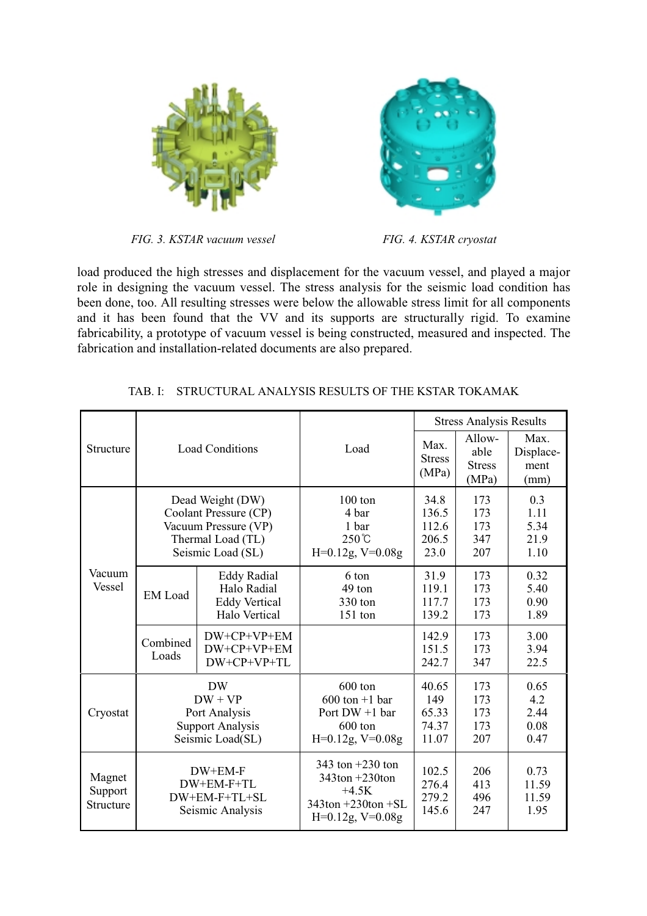



FIG. 3. KSTAR vacuum vessel

FIG. 4. KSTAR cryostat

load produced the high stresses and displacement for the vacuum vessel, and played a major role in designing the vacuum vessel. The stress analysis for the seismic load condition has been done, too. All resulting stresses were below the allowable stress limit for all components and it has been found that the VV and its supports are structurally rigid. To examine fabricability, a prototype of vacuum vessel is being constructed, measured and inspected. The fabrication and installation-related documents are also prepared.

| Structure                      | <b>Load Conditions</b>                                                                                      |                                                                            |                                                                                                      | <b>Stress Analysis Results</b>          |                                          |                                     |
|--------------------------------|-------------------------------------------------------------------------------------------------------------|----------------------------------------------------------------------------|------------------------------------------------------------------------------------------------------|-----------------------------------------|------------------------------------------|-------------------------------------|
|                                |                                                                                                             |                                                                            | Load                                                                                                 | Max.<br><b>Stress</b><br>(MPa)          | Allow-<br>able<br><b>Stress</b><br>(MPa) | Max.<br>Displace-<br>ment<br>(mm)   |
| Vacuum<br><b>Vessel</b>        | Dead Weight (DW)<br>Coolant Pressure (CP)<br>Vacuum Pressure (VP)<br>Thermal Load (TL)<br>Seismic Load (SL) |                                                                            | $100 \text{ ton}$<br>4 bar<br>1 bar<br>$250^{\circ}$ C<br>$H=0.12g, V=0.08g$                         | 34.8<br>136.5<br>112.6<br>206.5<br>23.0 | 173<br>173<br>173<br>347<br>207          | 0.3<br>1.11<br>5.34<br>21.9<br>1.10 |
|                                | <b>EM</b> Load                                                                                              | <b>Eddy Radial</b><br>Halo Radial<br><b>Eddy Vertical</b><br>Halo Vertical | 6 ton<br>49 ton<br>330 ton<br>151 ton                                                                | 31.9<br>119.1<br>117.7<br>139.2         | 173<br>173<br>173<br>173                 | 0.32<br>5.40<br>0.90<br>1.89        |
|                                | Combined<br>Loads                                                                                           | DW+CP+VP+EM<br>DW+CP+VP+EM<br>DW+CP+VP+TL                                  |                                                                                                      | 142.9<br>151.5<br>242.7                 | 173<br>173<br>347                        | 3.00<br>3.94<br>22.5                |
| Cryostat                       | <b>DW</b><br>$DW + VP$<br>Port Analysis<br><b>Support Analysis</b><br>Seismic Load(SL)                      |                                                                            | 600 ton<br>$600 \text{ ton} + 1 \text{ bar}$<br>Port $DW + 1$ bar<br>600 ton<br>$H=0.12g, V=0.08g$   | 40.65<br>149<br>65.33<br>74.37<br>11.07 | 173<br>173<br>173<br>173<br>207          | 0.65<br>4.2<br>2.44<br>0.08<br>0.47 |
| Magnet<br>Support<br>Structure | DW+EM-F<br>DW+EM-F+TL<br>DW+EM-F+TL+SL<br>Seismic Analysis                                                  |                                                                            | 343 ton $+230$ ton<br>$343$ ton $+230$ ton<br>$+4.5K$<br>$343$ ton +230ton +SL<br>$H=0.12g, V=0.08g$ | 102.5<br>276.4<br>279.2<br>145.6        | 206<br>413<br>496<br>247                 | 0.73<br>11.59<br>11.59<br>1.95      |

| TAB. I:    STRUCTURAL ANALYSIS RESULTS OF THE KSTAR TOKAMAK |  |  |  |
|-------------------------------------------------------------|--|--|--|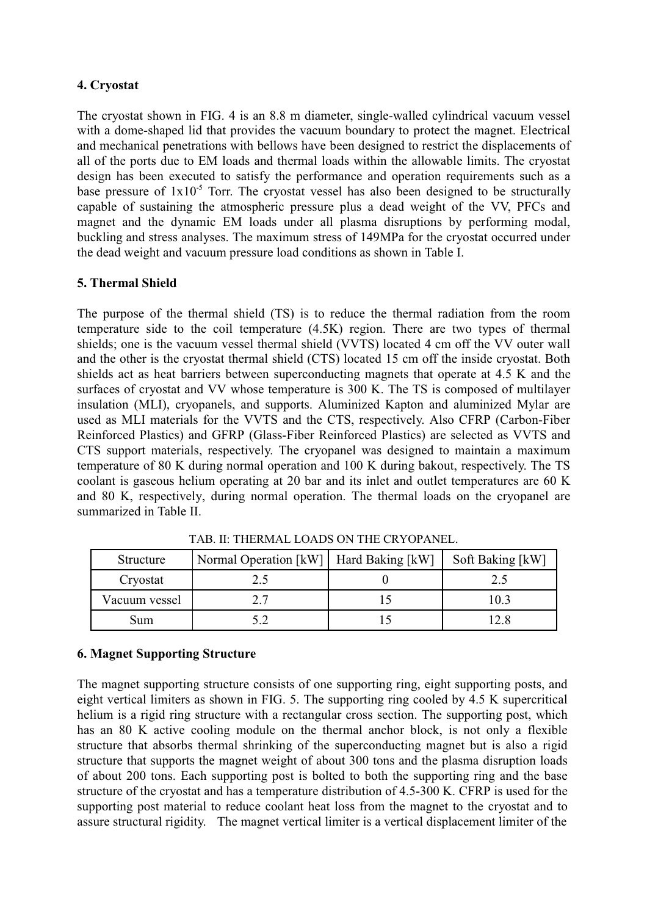## 4. Cryostat

The cryostat shown in FIG. 4 is an 8.8 m diameter, single-walled cylindrical vacuum vessel with a dome-shaped lid that provides the vacuum boundary to protect the magnet. Electrical and mechanical penetrations with bellows have been designed to restrict the displacements of all of the ports due to EM loads and thermal loads within the allowable limits. The cryostat design has been executed to satisfy the performance and operation requirements such as a base pressure of  $1x10^{-5}$  Torr. The cryostat vessel has also been designed to be structurally capable of sustaining the atmospheric pressure plus a dead weight of the VV, PFCs and magnet and the dynamic EM loads under all plasma disruptions by performing modal. buckling and stress analyses. The maximum stress of 149MPa for the cryostat occurred under the dead weight and vacuum pressure load conditions as shown in Table I.

# 5. Thermal Shield

The purpose of the thermal shield (TS) is to reduce the thermal radiation from the room temperature side to the coil temperature (4.5K) region. There are two types of thermal shields; one is the vacuum vessel thermal shield (VVTS) located 4 cm off the VV outer wall and the other is the cryostat thermal shield (CTS) located 15 cm off the inside cryostat. Both shields act as heat barriers between superconducting magnets that operate at 4.5 K and the surfaces of cryostat and VV whose temperature is 300 K. The TS is composed of multilayer insulation (MLI), cryopanels, and supports. Aluminized Kapton and aluminized Mylar are used as MLI materials for the VVTS and the CTS, respectively. Also CFRP (Carbon-Fiber Reinforced Plastics) and GFRP (Glass-Fiber Reinforced Plastics) are selected as VVTS and CTS support materials, respectively. The cryopanel was designed to maintain a maximum temperature of 80 K during normal operation and 100 K during bakout, respectively. The TS coolant is gaseous helium operating at 20 bar and its inlet and outlet temperatures are 60 K and 80 K, respectively, during normal operation. The thermal loads on the cryopanel are summarized in Table II.

| Structure     | Normal Operation [kW]   Hard Baking [kW] | Soft Baking [kW] |
|---------------|------------------------------------------|------------------|
| Cryostat      |                                          |                  |
| Vacuum vessel |                                          | 10.3             |
| Sum           |                                          |                  |

TAB. II: THERMAL LOADS ON THE CRYOPANEL.

## **6. Magnet Supporting Structure**

The magnet supporting structure consists of one supporting ring, eight supporting posts, and eight vertical limiters as shown in FIG. 5. The supporting ring cooled by 4.5 K supercritical helium is a rigid ring structure with a rectangular cross section. The supporting post, which has an 80 K active cooling module on the thermal anchor block, is not only a flexible structure that absorbs thermal shrinking of the superconducting magnet but is also a rigid structure that supports the magnet weight of about 300 tons and the plasma disruption loads of about 200 tons. Each supporting post is bolted to both the supporting ring and the base structure of the cryostat and has a temperature distribution of 4.5-300 K. CFRP is used for the supporting post material to reduce coolant heat loss from the magnet to the cryostat and to assure structural rigidity. The magnet vertical limiter is a vertical displacement limiter of the